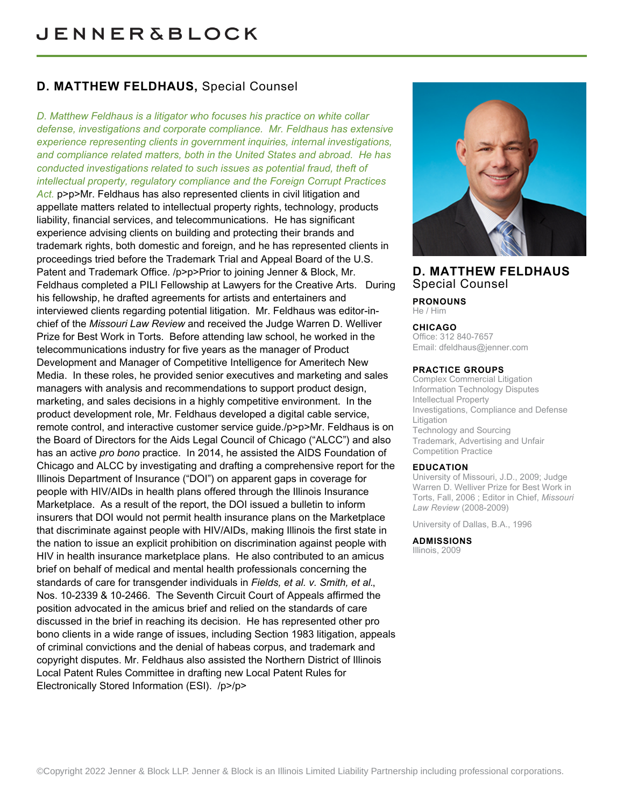# **D. MATTHEW FELDHAUS,** Special Counsel

*D. Matthew Feldhaus is a litigator who focuses his practice on white collar defense, investigations and corporate compliance. Mr. Feldhaus has extensive experience representing clients in government inquiries, internal investigations, and compliance related matters, both in the United States and abroad. He has conducted investigations related to such issues as potential fraud, theft of intellectual property, regulatory compliance and the Foreign Corrupt Practices* Act. p>p>Mr. Feldhaus has also represented clients in civil litigation and appellate matters related to intellectual property rights, technology, products liability, financial services, and telecommunications. He has significant experience advising clients on building and protecting their brands and trademark rights, both domestic and foreign, and he has represented clients in proceedings tried before the Trademark Trial and Appeal Board of the U.S. Patent and Trademark Office. /p>p>Prior to joining Jenner & Block, Mr. Feldhaus completed a PILI Fellowship at Lawyers for the Creative Arts. During his fellowship, he drafted agreements for artists and entertainers and interviewed clients regarding potential litigation. Mr. Feldhaus was editor-inchief of the *Missouri Law Review* and received the Judge Warren D. Welliver Prize for Best Work in Torts. Before attending law school, he worked in the telecommunications industry for five years as the manager of Product Development and Manager of Competitive Intelligence for Ameritech New Media. In these roles, he provided senior executives and marketing and sales managers with analysis and recommendations to support product design, marketing, and sales decisions in a highly competitive environment. In the product development role, Mr. Feldhaus developed a digital cable service, remote control, and interactive customer service guide./p>p>Mr. Feldhaus is on the Board of Directors for the Aids Legal Council of Chicago ("ALCC") and also has an active *pro bono* practice. In 2014, he assisted the AIDS Foundation of Chicago and ALCC by investigating and drafting a comprehensive report for the Illinois Department of Insurance ("DOI") on apparent gaps in coverage for people with HIV/AIDs in health plans offered through the Illinois Insurance Marketplace. As a result of the report, the DOI issued a bulletin to inform insurers that DOI would not permit health insurance plans on the Marketplace that discriminate against people with HIV/AIDs, making Illinois the first state in the nation to issue an explicit prohibition on discrimination against people with HIV in health insurance marketplace plans. He also contributed to an amicus brief on behalf of medical and mental health professionals concerning the standards of care for transgender individuals in *Fields, et al. v. Smith, et al.*, Nos. 10-2339 & 10-2466. The Seventh Circuit Court of Appeals affirmed the position advocated in the amicus brief and relied on the standards of care discussed in the brief in reaching its decision. He has represented other pro bono clients in a wide range of issues, including Section 1983 litigation, appeals of criminal convictions and the denial of habeas corpus, and trademark and copyright disputes. Mr. Feldhaus also assisted the Northern District of Illinois Local Patent Rules Committee in drafting new Local Patent Rules for Electronically Stored Information (ESI). /p>/p>



## **D. MATTHEW FELDHAUS** Special Counsel

**PRONOUNS** He / Him

## **CHICAGO**

Office: 312 840-7657 Email: [dfeldhaus@jenner.com](mailto:dfeldhaus@jenner.com)

#### **PRACTICE GROUPS**

Complex Commercial Litigation Information Technology Disputes Intellectual Property Investigations, Compliance and Defense Litigation Technology and Sourcing Trademark, Advertising and Unfair Competition Practice

#### **EDUCATION**

University of Missouri, J.D., 2009; Judge Warren D. Welliver Prize for Best Work in Torts, Fall, 2006 ; Editor in Chief, *Missouri Law Review* (2008-2009)

University of Dallas, B.A., 1996

#### **ADMISSIONS**

Illinois, 2009